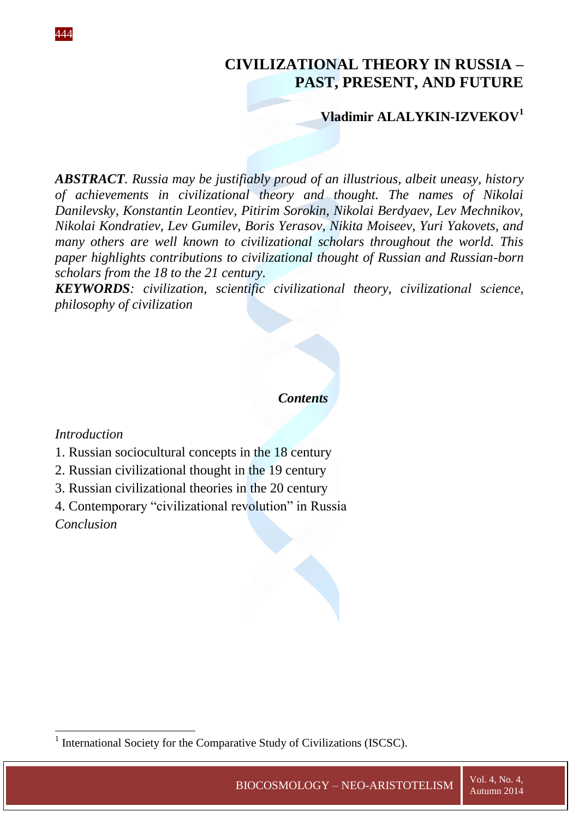# **CIVILIZATIONAL THEORY IN RUSSIA – PAST, PRESENT, AND FUTURE**

# **Vladimir ALALYKIN-IZVEKOV<sup>1</sup>**

*ABSTRACT. Russia may be justifiably proud of an illustrious, albeit uneasy, history of achievements in civilizational theory and thought. The names of Nikolai Danilevsky, Konstantin Leontiev, Pitirim Sorokin, Nikolai Berdyaev, Lev Mechnikov, Nikolai Kondratiev, Lev Gumilev, Boris Yerasov, Nikita Moiseev, Yuri Yakovets, and many others are well known to civilizational scholars throughout the world. This paper highlights contributions to civilizational thought of Russian and Russian-born scholars from the 18 to the 21 century.*

*KEYWORDS: civilization, scientific civilizationаl theory, civilizationаl sсience, philosophy of civilization*

#### *Contents*

#### *Introduction*

 $\overline{A}\overline{A}$ 

- 1. Russian sociocultural concepts in the 18 century
- 2. Russian civilizational thought in the 19 century
- 3. Russian civilizational theories in the 20 century
- 4. Contemporary "civilizational revolution" in Russia

*Conclusion*

1

<sup>&</sup>lt;sup>1</sup> International Society for the Comparative Study of Civilizations (ISCSC).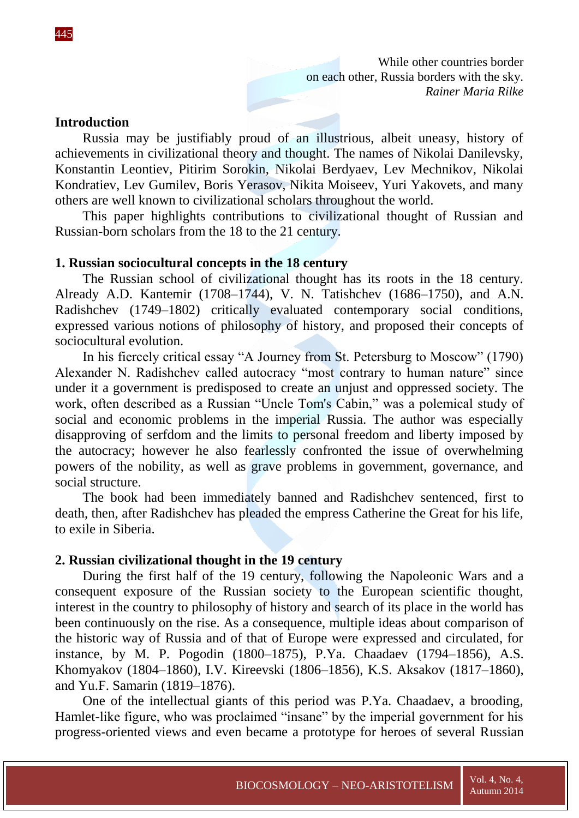While other countries border on each other, Russia borders with the sky. *Rainer Maria Rilke*

### **Introduction**

 $445$ 

Russia may be justifiably proud of an illustrious, albeit uneasy, history of achievements in civilizational theory and thought. The names of Nikolai Danilevsky, Konstantin Leontiev, Pitirim Sorokin, Nikolai Berdyaev, Lev Mechnikov, Nikolai Kondratiev, Lev Gumilev, Boris Yerasov, Nikita Moiseev, Yuri Yakovets, and many others are well known to civilizational scholars throughout the world.

This paper highlights contributions to civilizational thought of Russian and Russian-born scholars from the 18 to the 21 century.

#### **1. Russian sociocultural concepts in the 18 century**

The Russian school of civilizational thought has its roots in the 18 century. Already A.D. Kantemir (1708–1744), V. N. Tatishchev (1686–1750), and A.N. Radishchev (1749–1802) critically evaluated contemporary social conditions, expressed various notions of philosophy of history, and proposed their concepts of sociocultural evolution.

In his fiercely critical essay "A Journey from St. Petersburg to Moscow" (1790) Alexander N. Radishchev called autocracy "most contrary to human nature" since under it a government is predisposed to create an unjust and oppressed society. The work, often described as a Russian "Uncle Tom's Cabin," was a polemical study of social and economic problems in the imperial Russia. The author was especially disapproving of serfdom and the limits to personal freedom and liberty imposed by the autocracy; however he also fearlessly confronted the issue of overwhelming powers of the nobility, as well as grave problems in government, governance, and social structure.

The book had been immediately banned and Radishchev sentenced, first to death, then, after Radishchev has pleaded the empress Catherine the Great for his life, to exile in Siberia.

### **2. Russian civilizational thought in the 19 century**

During the first half of the 19 century, following the Napoleonic Wars and a consequent exposure of the Russian society to the European scientific thought, interest in the country to philosophy of history and search of its place in the world has been continuously on the rise. As a consequence, multiple ideas about comparison of the historic way of Russia and of that of Europe were expressed and circulated, for instance, by M*.* P. Pogodin (1800–1875), P.Ya. Chaadaev (1794–1856)*,* A.S. Khomyakov (1804–1860), I.V. Kireevski (1806–1856), K.S. Aksakov (1817–1860), and Yu.F. Samarin (1819–1876).

One of the intellectual giants of this period was P.Ya. Chaadaev, a brooding, Hamlet-like figure, who was proclaimed "insane" by the imperial government for his progress-oriented views and even became a prototype for heroes of several Russian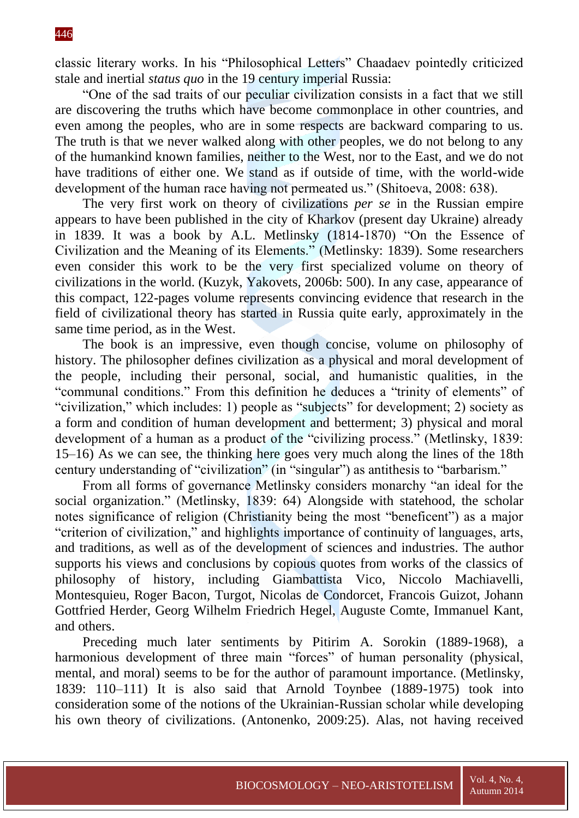classic literary works. In his "Philosophical Letters" Chaadaev pointedly criticized stale and inertial *status quo* in the 19 century imperial Russia:

"One of the sad traits of our peculiar civilization consists in a fact that we still are discovering the truths which have become commonplace in other countries, and even among the peoples, who are in some respects are backward comparing to us. The truth is that we never walked along with other peoples, we do not belong to any of the humankind known families, neither to the West, nor to the East, and we do not have traditions of either one. We stand as if outside of time, with the world-wide development of the human race having not permeated us." (Shitoeva, 2008: 638).

The very first work on theory of civilizations *per se* in the Russian empire appears to have been published in the city of Kharkov (present day Ukraine) already in 1839. It was a book by A.L. Metlinsky (1814-1870) "On the Essence of Civilization and the Meaning of its Elements." (Metlinsky: 1839). Some researchers even consider this work to be the very first specialized volume on theory of civilizations in the world. (Kuzyk, Yakovets, 2006b: 500). In any case, appearance of this compact, 122-pages volume represents convincing evidence that research in the field of civilizational theory has started in Russia quite early, approximately in the same time period, as in the West.

The book is an impressive, even though concise, volume on philosophy of history. The philosopher defines civilization as a physical and moral development of the people, including their personal, social, and humanistic qualities, in the "communal conditions." From this definition he deduces a "trinity of elements" of "civilization," which includes: 1) people as "subjects" for development; 2) society as a form and condition of human development and betterment; 3) physical and moral development of a human as a product of the "civilizing process." (Metlinsky, 1839: 15–16) As we can see, the thinking here goes very much along the lines of the 18th century understanding of "civilization" (in "singular") as antithesis to "barbarism."

From all forms of governance Metlinsky considers monarchy "an ideal for the social organization." (Metlinsky, 1839: 64) Alongside with statehood, the scholar notes significance of religion (Christianity being the most "beneficent") as a major "criterion of civilization," and highlights importance of continuity of languages, arts, and traditions, as well as of the development of sciences and industries. The author supports his views and conclusions by copious quotes from works of the classics of philosophy of history, including Giambattista Vico, Niccolo Machiavelli, Montesquieu, Roger Bacon, Turgot, Nicolas de Condorcet, Francois Guizot, Johann Gottfried Herder, Georg Wilhelm Friedrich Hegel, Auguste Comte, Immanuel Kant, and others.

Preceding much later sentiments by Pitirim A. Sorokin (1889-1968), a harmonious development of three main "forces" of human personality (physical, mental, and moral) seems to be for the author of paramount importance. (Metlinsky, 1839: 110–111) It is also said that Arnold Toynbee (1889-1975) took into consideration some of the notions of the Ukrainian-Russian scholar while developing his own theory of civilizations. (Antonenko, 2009:25). Alas, not having received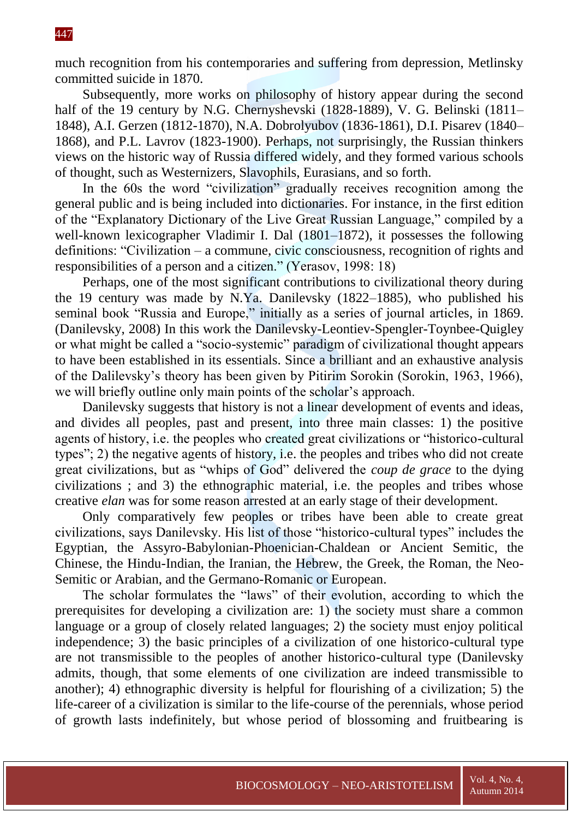much recognition from his contemporaries and suffering from depression, Metlinsky committed suicide in 1870.

Subsequently, more works on philosophy of history appear during the second half of the 19 century by N.G. Chernyshevski (1828-1889), V. G. Belinski (1811– 1848), A.I. Gerzen (1812-1870), N.A. Dobrolyubov (1836-1861), D.I. Pisarev (1840– 1868), and P.L. Lavrov (1823-1900). Perhaps, not surprisingly, the Russian thinkers views on the historic way of Russia differed widely, and they formed various schools of thought, such as Westernizers, Slavophils, Eurasians, and so forth.

In the 60s the word "civilization" gradually receives recognition among the general public and is being included into dictionaries. For instance, in the first edition of the "Explanatory Dictionary of the Live Great Russian Language," compiled by a well-known lexicographer Vladimir I. Dal (1801–1872), it possesses the following definitions: "Civilization – a commune, civic consciousness, recognition of rights and responsibilities of a person and a citizen." (Yerasov, 1998: 18)

Perhaps, one of the most significant contributions to civilizational theory during the 19 century was made by N.Ya. Danilevsky (1822–1885), who published his seminal book "Russia and Europe," initially as a series of journal articles, in 1869. (Danilevsky, 2008) In this work the Danilevsky-Leontiev-Spengler-Toynbee-Quigley or what might be called a "socio-systemic" paradigm of civilizational thought appears to have been established in its essentials. Since a brilliant and an exhaustive analysis of the Dalilevsky's theory has been given by Pitirim Sorokin (Sorokin, 1963, 1966), we will briefly outline only main points of the scholar's approach.

Danilevsky suggests that history is not a linear development of events and ideas, and divides all peoples, past and present, into three main classes: 1) the positive agents of history, i.e. the peoples who created great civilizations or "historico-cultural types"; 2) the negative agents of history, i.e. the peoples and tribes who did not create great civilizations, but as "whips of God" delivered the *coup de grace* to the dying civilizations ; and 3) the ethnographic material, i.e. the peoples and tribes whose creative *elan* was for some reason arrested at an early stage of their development.

Only comparatively few peoples or tribes have been able to create great civilizations, says Danilevsky. His list of those "historico-cultural types" includes the Egyptian, the Assyro-Babylonian-Phoenician-Chaldean or Ancient Semitic, the Chinese, the Hindu-Indian, the Iranian, the Hebrew, the Greek, the Roman, the Neo-Semitic or Arabian, and the Germano-Romanic or European.

The scholar formulates the "laws" of their evolution, according to which the prerequisites for developing a civilization are: 1) the society must share a common language or a group of closely related languages; 2) the society must enjoy political independence; 3) the basic principles of a civilization of one historico-cultural type are not transmissible to the peoples of another historico-cultural type (Danilevsky admits, though, that some elements of one civilization are indeed transmissible to another); 4) ethnographic diversity is helpful for flourishing of a civilization; 5) the life-career of a civilization is similar to the life-course of the perennials, whose period of growth lasts indefinitely, but whose period of blossoming and fruitbearing is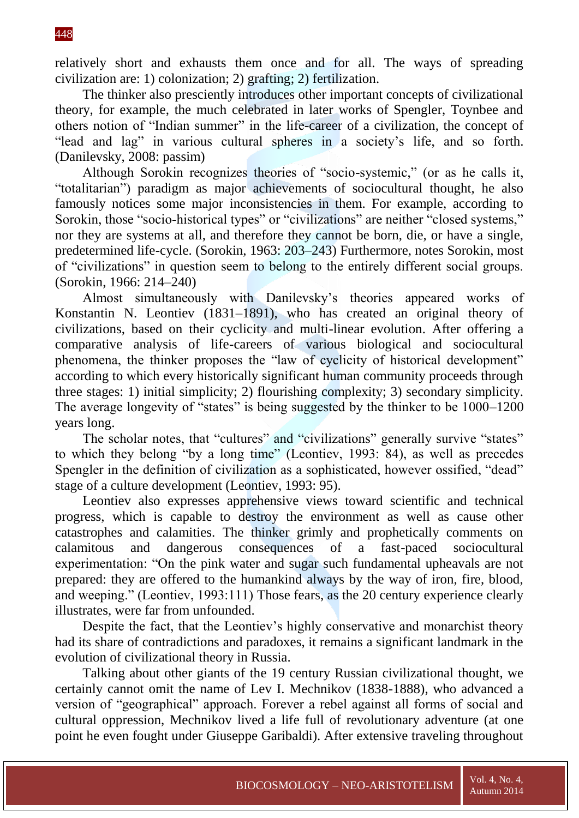relatively short and exhausts them once and for all. The ways of spreading civilization are: 1) colonization; 2) grafting; 2) fertilization.

The thinker also presciently introduces other important concepts of civilizational theory, for example, the much celebrated in later works of Spengler, Toynbee and others notion of "Indian summer" in the life-career of a civilization, the concept of "lead and lag" in various cultural spheres in a society's life, and so forth. (Danilevsky, 2008: passim)

Although Sorokin recognizes theories of "socio-systemic," (or as he calls it, "totalitarian") paradigm as major achievements of sociocultural thought, he also famously notices some major inconsistencies in them. For example, according to Sorokin, those "socio-historical types" or "civilizations" are neither "closed systems," nor they are systems at all, and therefore they cannot be born, die, or have a single, predetermined life-cycle. (Sorokin, 1963: 203–243) Furthermore, notes Sorokin, most of "civilizations" in question seem to belong to the entirely different social groups. (Sorokin, 1966: 214–240)

Almost simultaneously with Danilevsky's theories appeared works of Konstantin N. Leontiev (1831–1891), who has created an original theory of civilizations, based on their cyclicity and multi-linear evolution. After offering a comparative analysis of life-careers of various biological and sociocultural phenomena, the thinker proposes the "law of cyclicity of historical development" according to which every historically significant human community proceeds through three stages: 1) initial simplicity; 2) flourishing complexity; 3) secondary simplicity. The average longevity of "states" is being suggested by the thinker to be  $1000-1200$ years long.

The scholar notes, that "cultures" and "civilizations" generally survive "states" to which they belong "by a long time" (Leontiev, 1993: 84), as well as precedes Spengler in the definition of civilization as a sophisticated, however ossified, "dead" stage of a culture development (Leontiev, 1993: 95).

Leontiev also expresses apprehensive views toward scientific and technical progress, which is capable to destroy the environment as well as cause other catastrophes and calamities. The thinker grimly and prophetically comments on calamitous and dangerous consequences of a fast-paced sociocultural experimentation: "On the pink water and sugar such fundamental upheavals are not prepared: they are offered to the humankind always by the way of iron, fire, blood, and weeping." (Leontiev, 1993:111) Those fears, as the 20 century experience clearly illustrates, were far from unfounded.

Despite the fact, that the Leontiev's highly conservative and monarchist theory had its share of contradictions and paradoxes, it remains a significant landmark in the evolution of civilizational theory in Russia.

Talking about other giants of the 19 century Russian civilizational thought, we certainly cannot omit the name of Lev I. Mechnikov (1838-1888), who advanced a version of "geographical" approach. Forever a rebel against all forms of social and cultural oppression, Mechnikov lived a life full of revolutionary adventure (at one point he even fought under Giuseppe Garibaldi). After extensive traveling throughout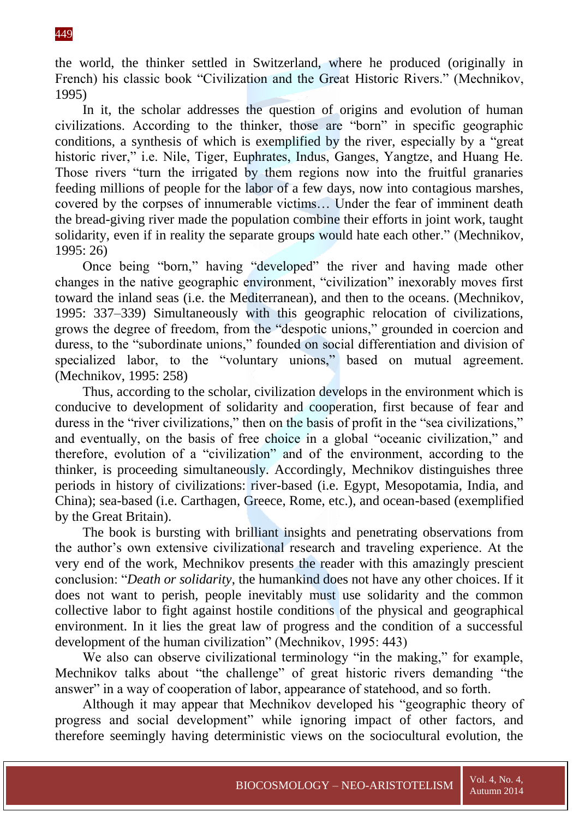the world, the thinker settled in Switzerland, where he produced (originally in French) his classic book "Civilization and the Great Historic Rivers." (Mechnikov, 1995)

In it, the scholar addresses the question of origins and evolution of human civilizations. According to the thinker, those are "born" in specific geographic conditions, a synthesis of which is exemplified by the river, especially by a "great historic river," i.e. Nile, Tiger, Euphrates, Indus, Ganges, Yangtze, and Huang He. Those rivers "turn the irrigated by them regions now into the fruitful granaries feeding millions of people for the labor of a few days, now into contagious marshes, covered by the corpses of innumerable victims… Under the fear of imminent death the bread-giving river made the population combine their efforts in joint work, taught solidarity, even if in reality the separate groups would hate each other." (Mechnikov, 1995: 26)

Once being "born," having "developed" the river and having made other changes in the native geographic environment, "civilization" inexorably moves first toward the inland seas (i.e. the Mediterranean), and then to the oceans. (Mechnikov, 1995: 337–339) Simultaneously with this geographic relocation of civilizations, grows the degree of freedom, from the "despotic unions," grounded in coercion and duress, to the "subordinate unions," founded on social differentiation and division of specialized labor, to the "voluntary unions," based on mutual agreement. (Mechnikov, 1995: 258)

Thus, according to the scholar, civilization develops in the environment which is conducive to development of solidarity and cooperation, first because of fear and duress in the "river civilizations," then on the basis of profit in the "sea civilizations," and eventually, on the basis of free choice in a global "oceanic civilization," and therefore, evolution of a "civilization" and of the environment, according to the thinker, is proceeding simultaneously. Accordingly, Mechnikov distinguishes three periods in history of civilizations: river-based (i.e. Egypt, Mesopotamia, India, and China); sea-based (i.e. Carthagen, Greece, Rome, etc.), and ocean-based (exemplified by the Great Britain).

The book is bursting with brilliant insights and penetrating observations from the author's own extensive civilizational research and traveling experience. At the very end of the work, Mechnikov presents the reader with this amazingly prescient conclusion: "*Death or solidarity*, the humankind does not have any other choices. If it does not want to perish, people inevitably must use solidarity and the common collective labor to fight against hostile conditions of the physical and geographical environment. In it lies the great law of progress and the condition of a successful development of the human civilization" (Mechnikov, 1995: 443)

We also can observe civilizational terminology "in the making," for example, Mechnikov talks about "the challenge" of great historic rivers demanding "the answer" in a way of cooperation of labor, appearance of statehood, and so forth.

Although it may appear that Mechnikov developed his "geographic theory of progress and social development" while ignoring impact of other factors, and therefore seemingly having deterministic views on the sociocultural evolution, the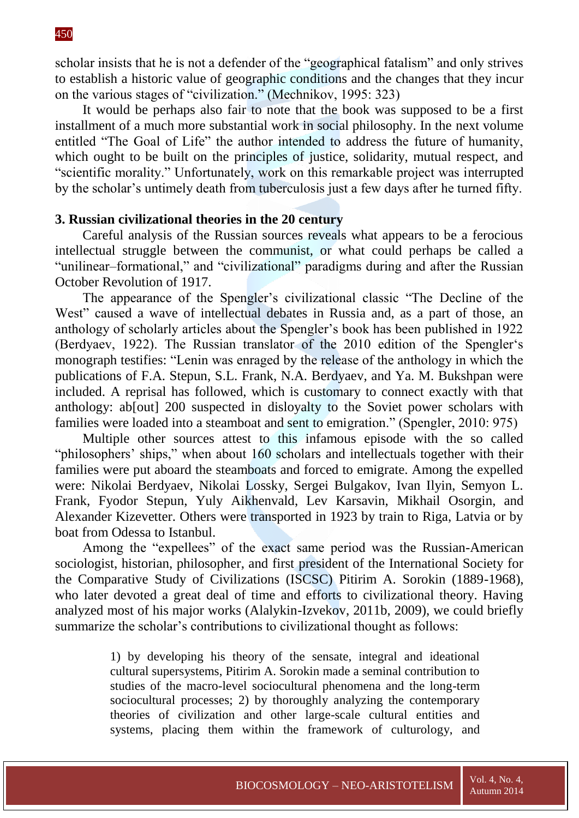scholar insists that he is not a defender of the "geographical fatalism" and only strives to establish a historic value of geographic conditions and the changes that they incur on the various stages of "civilization." (Mechnikov, 1995: 323)

It would be perhaps also fair to note that the book was supposed to be a first installment of a much more substantial work in social philosophy. In the next volume entitled "The Goal of Life" the author intended to address the future of humanity, which ought to be built on the principles of justice, solidarity, mutual respect, and "scientific morality." Unfortunately, work on this remarkable project was interrupted by the scholar's untimely death from tuberculosis just a few days after he turned fifty.

## **3. Russian civilizational theories in the 20 century**

Careful analysis of the Russian sources reveals what appears to be a ferocious intellectual struggle between the communist, or what could perhaps be called a "unilinear–formational," and "civilizational" paradigms during and after the Russian October Revolution of 1917.

The appearance of the Spengler's civilizational classic "The Decline of the West" caused a wave of intellectual debates in Russia and, as a part of those, an anthology of scholarly articles about the Spengler's book has been published in 1922 (Berdyaev, 1922). The Russian translator of the 2010 edition of the Spengler's monograph testifies: "Lenin was enraged by the release of the anthology in which the publications of F.A. Stepun, S.L. Frank, N.A. Berdyaev, and Ya. M. Bukshpan were included. A reprisal has followed, which is customary to connect exactly with that anthology: ab[out] 200 suspected in disloyalty to the Soviet power scholars with families were loaded into a steamboat and sent to emigration." (Spengler, 2010: 975)

Multiple other sources attest to this infamous episode with the so called "philosophers' ships," when about 160 scholars and intellectuals together with their families were put aboard the steamboats and forced to emigrate. Among the expelled were: Nikolai Berdyaev, Nikolai Lossky, Sergei Bulgakov, Ivan Ilyin, Semyon L. Frank, Fyodor Stepun, Yuly Aikhenvald, Lev Karsavin, Mikhail Osorgin, and Alexander Kizevetter. Others were transported in 1923 by train to Riga, Latvia or by boat from Odessa to Istanbul.

Among the "expellees" of the exact same period was the Russian-American sociologist, historian, philosopher, and first president of the International Society for the Comparative Study of Civilizations (ISCSC) Pitirim A. Sorokin (1889-1968), who later devoted a great deal of time and efforts to civilizational theory. Having analyzed most of his major works (Alalykin-Izvekov, 2011b, 2009), we could briefly summarize the scholar's contributions to civilizational thought as follows:

> 1) by developing his theory of the sensate, integral and ideational cultural supersystems, Pitirim A. Sorokin made a seminal contribution to studies of the macro-level sociocultural phenomena and the long-term sociocultural processes; 2) by thoroughly analyzing the contemporary theories of civilization and other large-scale cultural entities and systems, placing them within the framework of culturology, and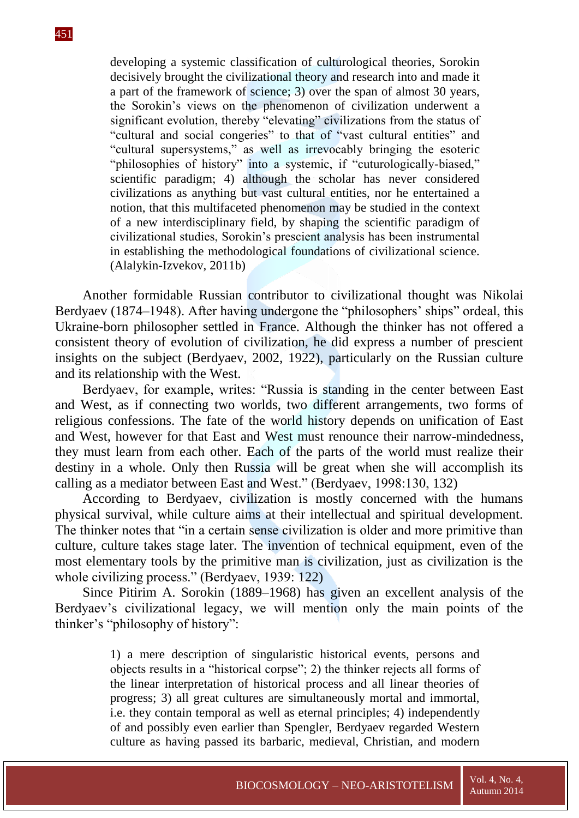developing a systemic classification of culturological theories, Sorokin decisively brought the civilizational theory and research into and made it a part of the framework of science; 3) over the span of almost 30 years, the Sorokin's views on the phenomenon of civilization underwent a significant evolution, thereby "elevating" civilizations from the status of "cultural and social congeries" to that of "vast cultural entities" and "cultural supersystems," as well as irrevocably bringing the esoteric "philosophies of history" into a systemic, if "cuturologically-biased," scientific paradigm; 4) although the scholar has never considered civilizations as anything but vast cultural entities, nor he entertained a notion, that this multifaceted phenomenon may be studied in the context of a new interdisciplinary field, by shaping the scientific paradigm of civilizational studies, Sorokin's prescient analysis has been instrumental in establishing the methodological foundations of civilizational science. (Alalykin-Izvekov, 2011b)

Another formidable Russian contributor to civilizational thought was Nikolai Berdyaev (1874–1948). After having undergone the "philosophers' ships" ordeal, this Ukraine-born philosopher settled in France. Although the thinker has not offered a consistent theory of evolution of civilization, he did express a number of prescient insights on the subject (Berdyaev, 2002, 1922), particularly on the Russian culture and its relationship with the West.

Berdyaev, for example, writes: "Russia is standing in the center between East and West, as if connecting two worlds, two different arrangements, two forms of religious confessions. The fate of the world history depends on unification of East and West, however for that East and West must renounce their narrow-mindedness, they must learn from each other. Each of the parts of the world must realize their destiny in a whole. Only then Russia will be great when she will accomplish its calling as a mediator between East and West." (Berdyaev, 1998:130, 132)

According to Berdyaev, civilization is mostly concerned with the humans physical survival, while culture aims at their intellectual and spiritual development. The thinker notes that "in a certain sense civilization is older and more primitive than culture, culture takes stage later. The invention of technical equipment, even of the most elementary tools by the primitive man is civilization, just as civilization is the whole civilizing process." (Berdyaev, 1939: 122)

Since Pitirim A. Sorokin (1889–1968) has given an excellent analysis of the Berdyaev's civilizational legacy, we will mention only the main points of the thinker's "philosophy of history":

> 1) a mere description of singularistic historical events, persons and objects results in a "historical corpse"; 2) the thinker rejects all forms of the linear interpretation of historical process and all linear theories of progress; 3) all great cultures are simultaneously mortal and immortal, i.e. they contain temporal as well as eternal principles; 4) independently of and possibly even earlier than Spengler, Berdyaev regarded Western culture as having passed its barbaric, medieval, Christian, and modern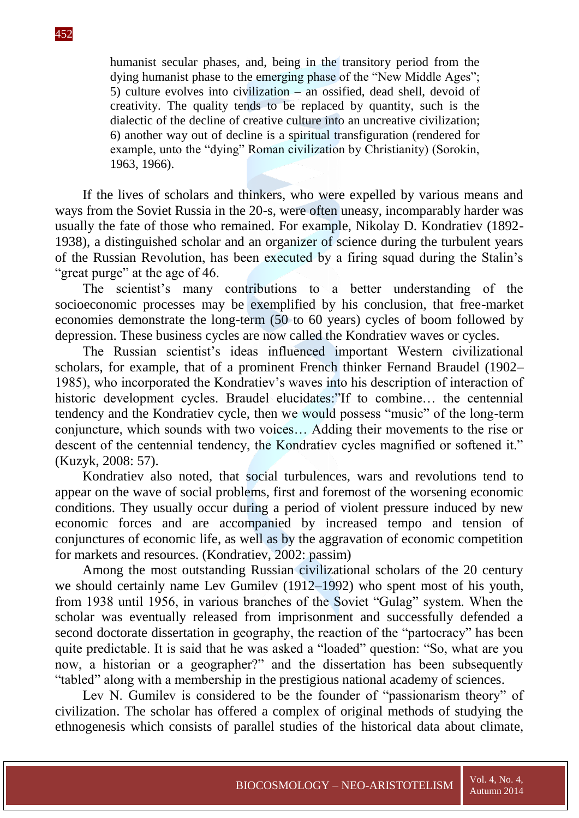humanist secular phases, and, being in the transitory period from the dying humanist phase to the emerging phase of the "New Middle Ages"; 5) culture evolves into civilization – an ossified, dead shell, devoid of creativity. The quality tends to be replaced by quantity, such is the dialectic of the decline of creative culture into an uncreative civilization; 6) another way out of decline is a spiritual transfiguration (rendered for example, unto the "dying" Roman civilization by Christianity) (Sorokin, 1963, 1966).

If the lives of scholars and thinkers, who were expelled by various means and ways from the Soviet Russia in the 20-s, were often uneasy, incomparably harder was usually the fate of those who remained. For example, Nikolay D. Kondratiev (1892- 1938), a distinguished scholar and an organizer of science during the turbulent years of the Russian Revolution, has been executed by a firing squad during the Stalin's "great purge" at the age of 46.

The scientist's many contributions to a better understanding of the socioeconomic processes may be exemplified by his conclusion, that free-market economies demonstrate the long-term (50 to 60 years) cycles of boom followed by depression. These business cycles are now called the Kondratiev waves or cycles.

The Russian scientist's ideas influenced important Western civilizational scholars, for example, that of a prominent French thinker Fernand Braudel (1902– 1985), who incorporated the Kondratiev's waves into his description of interaction of historic development cycles. Braudel elucidates:"If to combine... the centennial tendency and the Kondratiev cycle, then we would possess "music" of the long-term conjuncture, which sounds with two voices… Adding their movements to the rise or descent of the centennial tendency, the Kondratiev cycles magnified or softened it." (Kuzyk, 2008: 57).

Kondratiev also noted, that social turbulences, wars and revolutions tend to appear on the wave of social problems, first and foremost of the worsening economic conditions. They usually occur during a period of violent pressure induced by new economic forces and are accompanied by increased tempo and tension of conjunctures of economic life, as well as by the aggravation of economic competition for markets and resources. (Kondratiev, 2002: passim)

Among the most outstanding Russian civilizational scholars of the 20 century we should certainly name Lev Gumilev (1912–1992) who spent most of his youth, from 1938 until 1956, in various branches of the Soviet "Gulag" system. When the scholar was eventually released from imprisonment and successfully defended a second doctorate dissertation in geography, the reaction of the "partocracy" has been quite predictable. It is said that he was asked a "loaded" question: "So, what are you now, a historian or a geographer?" and the dissertation has been subsequently "tabled" along with a membership in the prestigious national academy of sciences.

Lev N. Gumilev is considered to be the founder of "passionarism theory" of civilization. The scholar has offered a complex of original methods of studying the ethnogenesis which consists of parallel studies of the historical data about climate,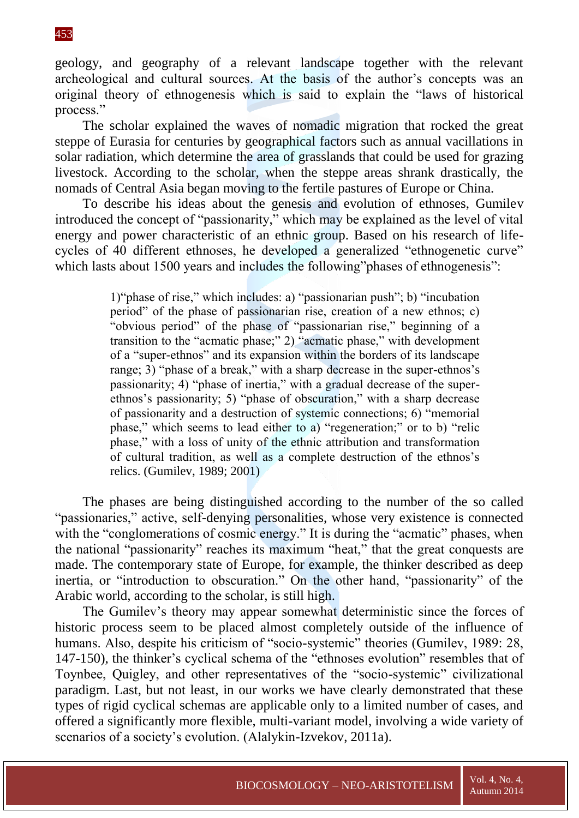geology, and geography of a relevant landscape together with the relevant archeological and cultural sources. At the basis of the author's concepts was an original theory of ethnogenesis which is said to explain the "laws of historical process."

The scholar explained the waves of nomadic migration that rocked the great steppe of Eurasia for centuries by geographical factors such as annual vacillations in solar radiation, which determine the area of grasslands that could be used for grazing livestock. According to the scholar, when the steppe areas shrank drastically, the nomads of Central Asia began moving to the fertile pastures of Europe or China.

To describe his ideas about the genesis and evolution of ethnoses, Gumilev introduced the concept of "passionarity," which may be explained as the level of vital energy and power characteristic of an ethnic group. Based on his research of lifecycles of 40 different ethnoses, he developed a generalized "ethnogenetic curve" which lasts about 1500 years and includes the following" phases of ethnogenesis":

> 1)"phase of rise," which includes: a) "passionarian push"; b) "incubation period" of the phase of passionarian rise, creation of a new ethnos; c) "obvious period" of the phase of "passionarian rise," beginning of a transition to the "acmatic phase;" 2) "acmatic phase," with development of a "super-ethnos" and its expansion within the borders of its landscape range; 3) "phase of a break," with a sharp decrease in the super-ethnos's passionarity; 4) "phase of inertia," with a gradual decrease of the superethnos's passionarity; 5) "phase of obscuration," with a sharp decrease of passionarity and a destruction of systemic connections; 6) "memorial phase," which seems to lead either to a) "regeneration;" or to b) "relic phase," with a loss of unity of the ethnic attribution and transformation of cultural tradition, as well as a complete destruction of the ethnos's relics. (Gumilev, 1989; 2001)

The phases are being distinguished according to the number of the so called "passionaries," active, self-denying personalities, whose very existence is connected with the "conglomerations of cosmic energy." It is during the "acmatic" phases, when the national "passionarity" reaches its maximum "heat," that the great conquests are made. The contemporary state of Europe, for example, the thinker described as deep inertia, or "introduction to obscuration." On the other hand, "passionarity" of the Arabic world, according to the scholar, is still high.

The Gumilev's theory may appear somewhat deterministic since the forces of historic process seem to be placed almost completely outside of the influence of humans. Also, despite his criticism of "socio-systemic" theories (Gumilev, 1989: 28, 147-150), the thinker's cyclical schema of the "ethnoses evolution" resembles that of Toynbee, Quigley, and other representatives of the "socio-systemic" civilizational paradigm. Last, but not least, in our works we have clearly demonstrated that these types of rigid cyclical schemas are applicable only to a limited number of cases, and offered a significantly more flexible, multi-variant model, involving a wide variety of scenarios of a society's evolution. (Alalykin-Izvekov, 2011a).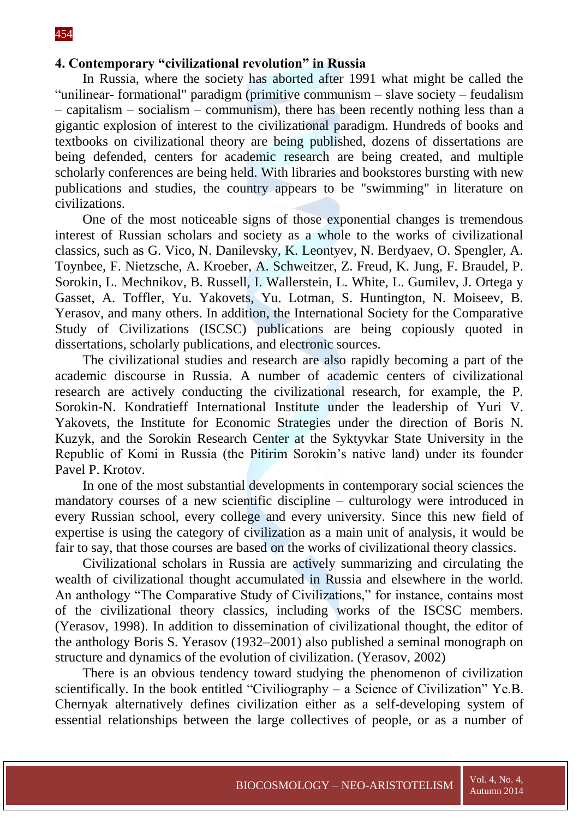## **4. Contemporary "civilizational revolution" in Russia**

In Russia, where the society has aborted after 1991 what might be called the "unilinear- formational" paradigm (primitive communism – slave society – feudalism – capitalism – socialism – communism), there has been recently nothing less than a gigantic explosion of interest to the civilizational paradigm. Hundreds of books and textbooks on civilizational theory are being published, dozens of dissertations are being defended, centers for academic research are being created, and multiple scholarly conferences are being held. With libraries and bookstores bursting with new publications and studies, the country appears to be "swimming" in literature on civilizations.

One of the most noticeable signs of those exponential changes is tremendous interest of Russian scholars and society as a whole to the works of civilizational classics, such as G. Vico, N. Danilevsky, K. Leontyev, N. Berdyaev, O. Spengler, A. Toynbee, F. Nietzsche, A. Kroeber, A. Schweitzer, Z. Freud, K. Jung, F. Braudel, P. Sorokin, L. Mechnikov, B. Russell, I. Wallerstein, L. White, L. Gumilev, J. Ortega y Gasset, A. Toffler, Yu. Yakovets, Yu. Lotman, S. Huntington, N. Moiseev, B. Yerasov, and many others. In addition, the International Society for the Comparative Study of Civilizations (ISCSC) publications are being copiously quoted in dissertations, scholarly publications, and electronic sources.

The civilizational studies and research are also rapidly becoming a part of the academic discourse in Russia. A number of academic centers of civilizational research are actively conducting the civilizational research, for example, the P. Sorokin-N. Kondratieff International Institute under the leadership of Yuri V. Yakovets, the Institute for Economic Strategies under the direction of Boris N. Kuzyk, and the Sorokin Research Center at the Syktyvkar State University in the Republic of Komi in Russia (the Pitirim Sorokin's native land) under its founder Pavel P. Krotov.

In one of the most substantial developments in contemporary social sciences the mandatory courses of a new scientific discipline – culturology were introduced in every Russian school, every college and every university. Since this new field of expertise is using the category of civilization as a main unit of analysis, it would be fair to say, that those courses are based on the works of civilizational theory classics.

Civilizational scholars in Russia are actively summarizing and circulating the wealth of civilizational thought accumulated in Russia and elsewhere in the world. An anthology "The Comparative Study of Civilizations," for instance, contains most of the civilizational theory classics, including works of the ISCSC members. (Yerasov, 1998). In addition to dissemination of civilizational thought, the editor of the anthology Boris S. Yerasov (1932–2001) also published a seminal monograph on structure and dynamics of the evolution of civilization. (Yerasov, 2002)

There is an obvious tendency toward studying the phenomenon of civilization scientifically. In the book entitled "Civiliography – a Science of Civilization" Ye.B. Chernyak alternatively defines civilization either as a self-developing system of essential relationships between the large collectives of people, or as a number of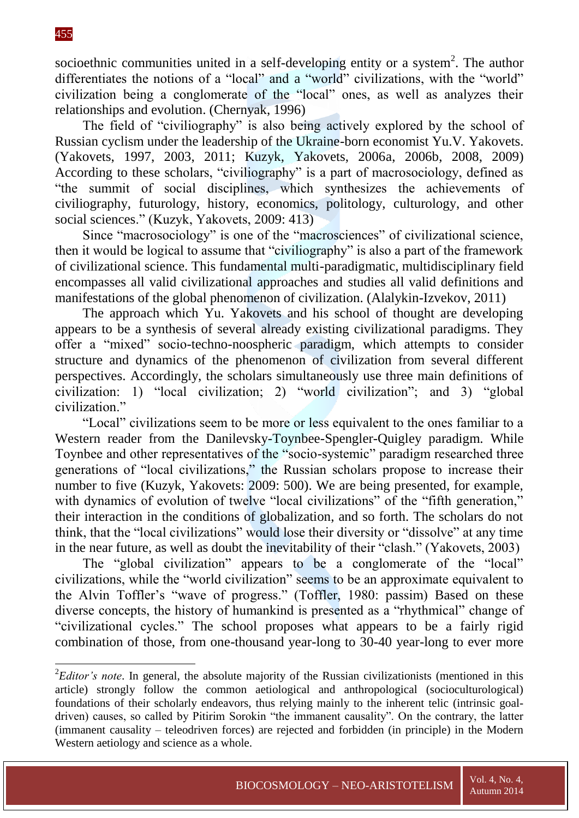1

socioethnic communities united in a self-developing entity or a system<sup>2</sup>. The author differentiates the notions of a "local" and a "world" civilizations, with the "world" civilization being a conglomerate of the "local" ones, as well as analyzes their relationships and evolution. (Chernyak, 1996)

The field of "civiliography" is also being actively explored by the school of Russian cyclism under the leadership of the Ukraine-born economist Yu.V. Yakovets. (Yakovets, 1997, 2003, 2011; Kuzyk, Yakovets, 2006a, 2006b, 2008, 2009) According to these scholars, "civiliography" is a part of macrosociology, defined as "the summit of social disciplines, which synthesizes the achievements of civiliography, futurology, history, economics, politology, culturology, and other social sciences." (Kuzyk, Yakovets, 2009: 413)

Since "macrosociology" is one of the "macrosciences" of civilizational science, then it would be logical to assume that "civiliography" is also a part of the framework of civilizational science. This fundamental multi-paradigmatic, multidisciplinary field encompasses all valid civilizational approaches and studies all valid definitions and manifestations of the global phenomenon of civilization. (Alalykin-Izvekov, 2011)

The approach which Yu. Yakovets and his school of thought are developing appears to be a synthesis of several already existing civilizational paradigms. They offer a "mixed" socio-techno-noospheric paradigm, which attempts to consider structure and dynamics of the phenomenon of civilization from several different perspectives. Accordingly, the scholars simultaneously use three main definitions of civilization: 1) "local civilization; 2) "world civilization"; and 3) "global civilization."

"Local" civilizations seem to be more or less equivalent to the ones familiar to a Western reader from the Danilevsky-Toynbee-Spengler-Quigley paradigm. While Toynbee and other representatives of the "socio-systemic" paradigm researched three generations of "local civilizations," the Russian scholars propose to increase their number to five (Kuzyk, Yakovets: 2009: 500). We are being presented, for example, with dynamics of evolution of twelve "local civilizations" of the "fifth generation," their interaction in the conditions of globalization, and so forth. The scholars do not think, that the "local civilizations" would lose their diversity or "dissolve" at any time in the near future, as well as doubt the inevitability of their "clash." (Yakovets, 2003)

The "global civilization" appears to be a conglomerate of the "local" civilizations, while the "world civilization" seems to be an approximate equivalent to the Alvin Toffler's "wave of progress." (Toffler, 1980: passim) Based on these diverse concepts, the history of humankind is presented as a "rhythmical" change of "civilizational cycles." The school proposes what appears to be a fairly rigid combination of those, from one-thousand year-long to 30-40 year-long to ever more

<sup>&</sup>lt;sup>2</sup>Editor's note. In general, the absolute majority of the Russian civilizationists (mentioned in this article) strongly follow the common aetiological and anthropological (socioculturological) foundations of their scholarly endeavors, thus relying mainly to the inherent telic (intrinsic goaldriven) causes, so called by Pitirim Sorokin "the immanent causality". On the contrary, the latter (immanent causality – teleodriven forces) are rejected and forbidden (in principle) in the Modern Western aetiology and science as a whole.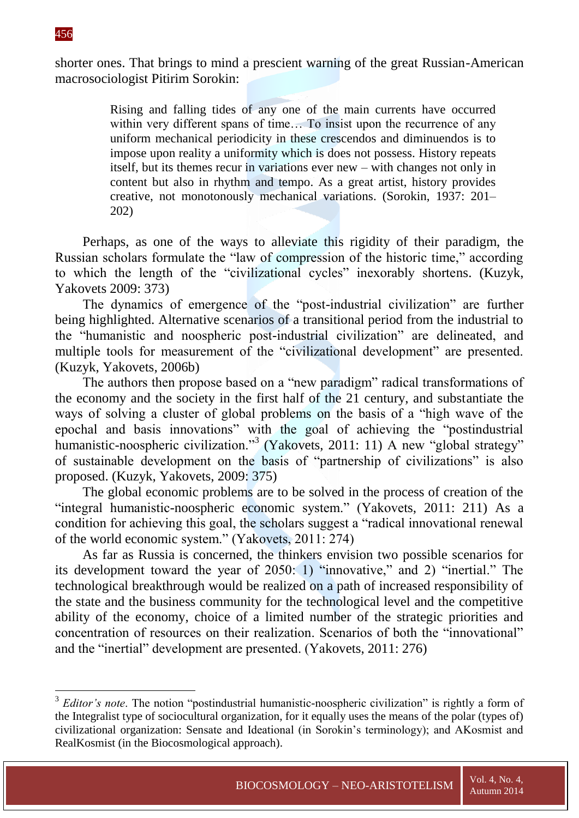

<u>.</u>

shorter ones. That brings to mind a prescient warning of the great Russian-American macrosociologist Pitirim Sorokin:

> Rising and falling tides of any one of the main currents have occurred within very different spans of time... To insist upon the recurrence of any uniform mechanical periodicity in these crescendos and diminuendos is to impose upon reality a uniformity which is does not possess. History repeats itself, but its themes recur in variations ever new – with changes not only in content but also in rhythm and tempo. As a great artist, history provides creative, not monotonously mechanical variations. (Sorokin, 1937: 201– 202)

Perhaps, as one of the ways to alleviate this rigidity of their paradigm, the Russian scholars formulate the "law of compression of the historic time," according to which the length of the "civilizational cycles" inexorably shortens. (Kuzyk, Yakovets 2009: 373)

The dynamics of emergence of the "post-industrial civilization" are further being highlighted. Alternative scenarios of a transitional period from the industrial to the "humanistic and noospheric post-industrial civilization" are delineated, and multiple tools for measurement of the "civilizational development" are presented. (Kuzyk, Yakovets, 2006b)

The authors then propose based on a "new paradigm" radical transformations of the economy and the society in the first half of the 21 century, and substantiate the ways of solving a cluster of global problems on the basis of a "high wave of the epochal and basis innovations" with the goal of achieving the "postindustrial humanistic-noospheric civilization."<sup>3</sup> (Yakovets, 2011: 11) A new "global strategy" of sustainable development on the basis of "partnership of civilizations" is also proposed. (Kuzyk, Yakovets, 2009: 375)

The global economic problems are to be solved in the process of creation of the "integral humanistic-noospheric economic system." (Yakovets, 2011: 211) As a condition for achieving this goal, the scholars suggest a "radical innovational renewal of the world economic system." (Yakovets, 2011: 274)

As far as Russia is concerned, the thinkers envision two possible scenarios for its development toward the year of 2050: 1) "innovative," and 2) "inertial." The technological breakthrough would be realized on a path of increased responsibility of the state and the business community for the technological level and the competitive ability of the economy, choice of a limited number of the strategic priorities and concentration of resources on their realization. Scenarios of both the "innovational" and the "inertial" development are presented. (Yakovets, 2011: 276)

<sup>&</sup>lt;sup>3</sup> Editor's note. The notion "postindustrial humanistic-noospheric civilization" is rightly a form of the Integralist type of sociocultural organization, for it equally uses the means of the polar (types of) civilizational organization: Sensate and Ideational (in Sorokin's terminology); and AKosmist and RealKosmist (in the Biocosmological approach).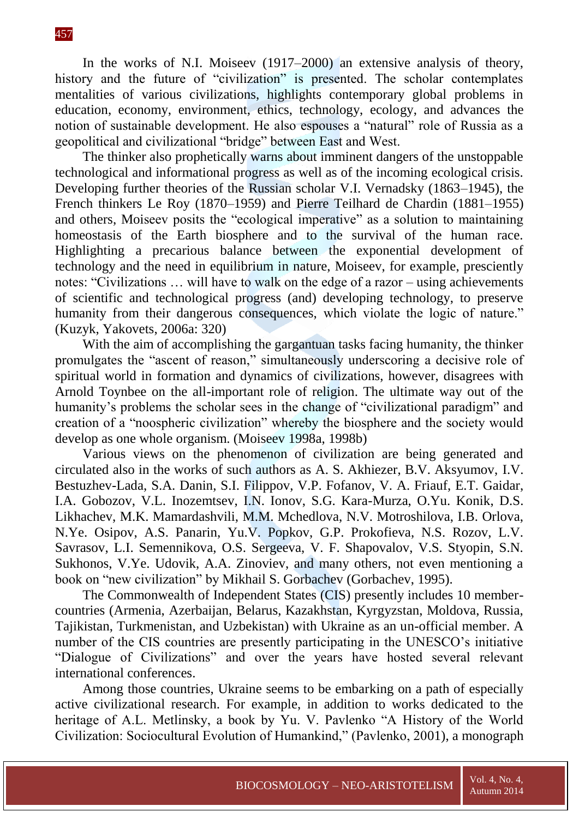In the works of N.I. Moiseev (1917–2000) an extensive analysis of theory, history and the future of "civilization" is presented. The scholar contemplates mentalities of various civilizations, highlights contemporary global problems in education, economy, environment, ethics, technology, ecology, and advances the notion of sustainable development. He also espouses a "natural" role of Russia as a geopolitical and civilizational "bridge" between East and West.

The thinker also prophetically warns about imminent dangers of the unstoppable technological and informational progress as well as of the incoming ecological crisis. Developing further theories of the Russian scholar V.I. Vernadsky (1863–1945), the French thinkers Le Roy (1870–1959) and Pierre Teilhard de Chardin (1881–1955) and others, Moiseev posits the "ecological imperative" as a solution to maintaining homeostasis of the Earth biosphere and to the survival of the human race. Highlighting a precarious balance between the exponential development of technology and the need in equilibrium in nature, Moiseev, for example, presciently notes: "Civilizations … will have to walk on the edge of a razor – using achievements of scientific and technological progress (and) developing technology, to preserve humanity from their dangerous consequences, which violate the logic of nature." (Kuzyk, Yakovets, 2006a: 320)

With the aim of accomplishing the gargantuan tasks facing humanity, the thinker promulgates the "ascent of reason," simultaneously underscoring a decisive role of spiritual world in formation and dynamics of civilizations, however, disagrees with Arnold Toynbee on the all-important role of religion. The ultimate way out of the humanity's problems the scholar sees in the change of "civilizational paradigm" and creation of a "noospheric civilization" whereby the biosphere and the society would develop as one whole organism. (Moiseev 1998a, 1998b)

Various views on the phenomenon of civilization are being generated and circulated also in the works of such authors as A. S. Akhiezer, B.V. Aksyumov, I.V. Bestuzhev-Lada, S.A. Danin, S.I. Filippov, V.P. Fofanov, V. A. Friauf, E.T. Gaidar, I.A. Gobozov, V.L. Inozemtsev, I.N. Ionov, S.G. Kara-Murza, O.Yu. Konik, D.S. Likhachev, M.K. Mamardashvili, M.M. Mchedlova, N.V. Motroshilova, I.B. Orlova, N.Ye. Osipov, A.S. Panarin, Yu.V. Popkov, G.P. Prokofieva, N.S. Rozov, L.V. Savrasov, L.I. Semennikova, O.S. Sergeeva, V. F. Shapovalov, V.S. Styopin, S.N. Sukhonos, V.Ye. Udovik, A.A. Zinoviev, and many others, not even mentioning a book on "new civilization" by Mikhail S. Gorbachev (Gorbachev, 1995).

The Commonwealth of Independent States (CIS) presently includes 10 membercountries (Armenia, Azerbaijan, Belarus, Kazakhstan, Kyrgyzstan, Moldova, Russia, Tajikistan, Turkmenistan, and Uzbekistan) with Ukraine as an un-official member. A number of the CIS countries are presently participating in the UNESCO's initiative "Dialogue of Civilizations" and over the years have hosted several relevant international conferences.

Among those countries, Ukraine seems to be embarking on a path of especially active civilizational research. For example, in addition to works dedicated to the heritage of A.L. Metlinsky, a book by Yu. V. Pavlenko "A History of the World Civilization: Sociocultural Evolution of Humankind," (Pavlenko, 2001), a monograph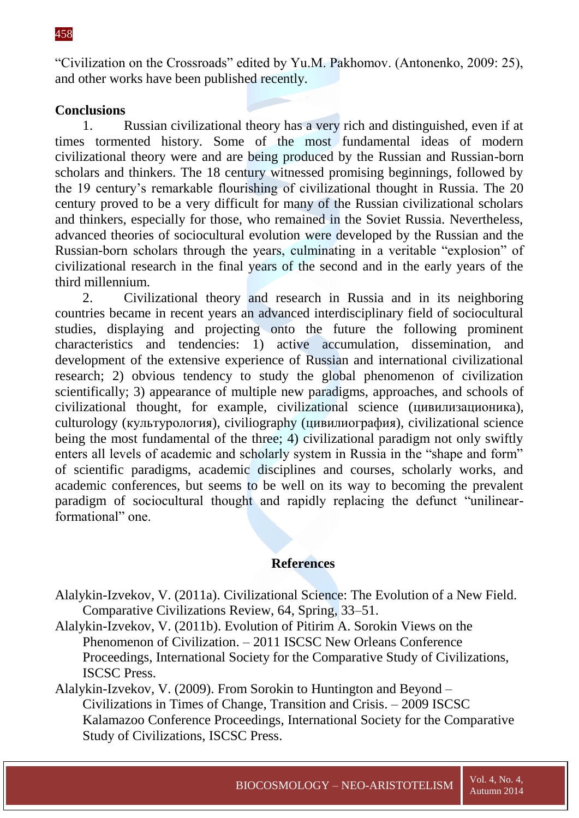"Civilization on the Crossroads" edited by Yu.M. Pakhomov. (Antonenko, 2009: 25), and other works have been published recently.

# **Conclusions**

1. Russian civilizational theory has a very rich and distinguished, even if at times tormented history. Some of the most fundamental ideas of modern civilizational theory were and are being produced by the Russian and Russian-born scholars and thinkers. The 18 century witnessed promising beginnings, followed by the 19 century's remarkable flourishing of civilizational thought in Russia. The 20 century proved to be a very difficult for many of the Russian civilizational scholars and thinkers, especially for those, who remained in the Soviet Russia. Nevertheless, advanced theories of sociocultural evolution were developed by the Russian and the Russian-born scholars through the years, culminating in a veritable "explosion" of civilizational research in the final years of the second and in the early years of the third millennium.

2. Civilizational theory and research in Russia and in its neighboring countries became in recent years an advanced interdisciplinary field of sociocultural studies, displaying and projecting onto the future the following prominent characteristics and tendencies: 1) active accumulation, dissemination, and development of the extensive experience of Russian and international civilizational research; 2) obvious tendency to study the global phenomenon of civilization scientifically; 3) appearance of multiple new paradigms, approaches, and schools of civilizational thought, for example, civilizational science (цивилизационика), culturology (культурология), civiliography (цивилиография), civilizational science being the most fundamental of the three; 4) civilizational paradigm not only swiftly enters all levels of academic and scholarly system in Russia in the "shape and form" of scientific paradigms, academic disciplines and courses, scholarly works, and academic conferences, but seems to be well on its way to becoming the prevalent paradigm of sociocultural thought and rapidly replacing the defunct "unilinearformational" one.

## **References**

Alalykin-Izvekov, V. (2011a). Civilizational Science: The Evolution of a New Field. Comparative Civilizations Review, 64, Spring, 33–51.

Alalykin-Izvekov, V. (2011b). Evolution of Pitirim A. Sorokin Views on the Phenomenon of Civilization. – 2011 ISCSC New Orleans Conference Proceedings, International Society for the Comparative Study of Civilizations, ISCSC Press.

Alalykin-Izvekov, V. (2009). From Sorokin to Huntington and Beyond – Civilizations in Times of Change, Transition and Crisis. – 2009 ISCSC Kalamazoo Conference Proceedings, International Society for the Comparative Study of Civilizations, ISCSC Press.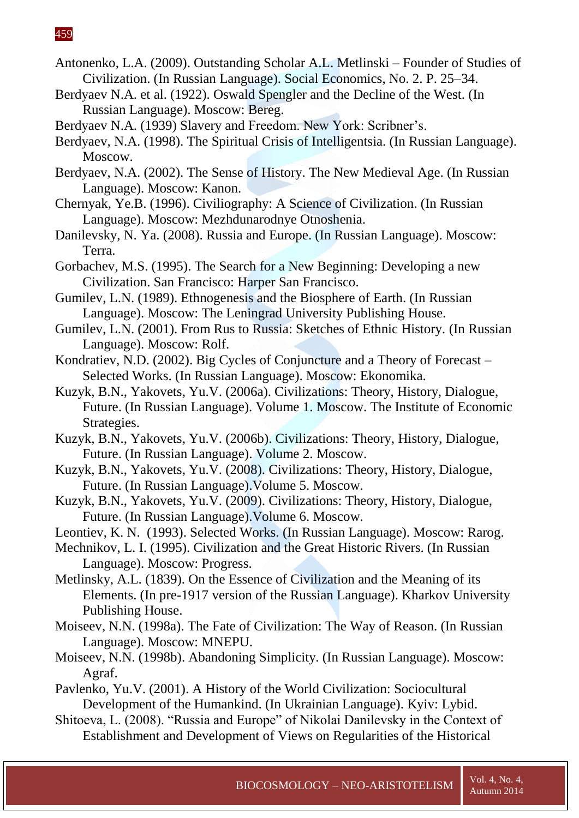## 459

- Antonenko, L.A. (2009). Outstanding Scholar A.L. Metlinski Founder of Studies of Civilization. (In Russian Language). Social Economics, No. 2. P. 25–34.
- Berdyaev N.A. et al. (1922). Oswald Spengler and the Decline of the West. (In Russian Language). Moscow: Bereg.
- Berdyaev N.A. (1939) Slavery and Freedom. New York: Scribner's.
- Berdyaev, N.A. (1998). The Spiritual Crisis of Intelligentsia. (In Russian Language). Moscow.
- Berdyaev, N.A. (2002). The Sense of History. The New Medieval Age. (In Russian Language). Moscow: Kanon.
- Chernyak, Ye.B. (1996). Civiliography: A Science of Civilization. (In Russian Language). Moscow: Mezhdunarodnye Otnoshenia.
- Danilevsky, N. Ya. (2008). Russia and Europe. (In Russian Language). Moscow: Terra.
- Gorbachev, M.S. (1995). The Search for a New Beginning: Developing a new Civilization. San Francisco: Harper San Francisco.
- Gumilev, L.N. (1989). Ethnogenesis and the Biosphere of Earth. (In Russian Language). Moscow: The Leningrad University Publishing House.
- Gumilev, L.N. (2001). From Rus to Russia: Sketches of Ethnic History. (In Russian Language). Moscow: Rolf.
- Kondratiev, N.D. (2002). Big Cycles of Conjuncture and a Theory of Forecast Selected Works. (In Russian Language). Moscow: Ekonomika.
- Kuzyk, B.N., Yakovets, Yu.V. (2006a). Civilizations: Theory, History, Dialogue, Future. (In Russian Language). Volume 1. Moscow. The Institute of Economic Strategies.
- Kuzyk, B.N., Yakovets, Yu.V. (2006b). Civilizations: Theory, History, Dialogue, Future. (In Russian Language). Volume 2. Moscow.
- Kuzyk, B.N., Yakovets, Yu.V. (2008). Civilizations: Theory, History, Dialogue, Future. (In Russian Language).Volume 5. Moscow.
- Kuzyk, B.N., Yakovets, Yu.V. (2009). Civilizations: Theory, History, Dialogue, Future. (In Russian Language).Volume 6. Moscow.
- Leontiev, K. N. (1993). Selected Works. (In Russian Language). Moscow: Rarog.
- Mechnikov, L. I. (1995). Civilization and the Great Historic Rivers. (In Russian Language). Moscow: Progress.
- Metlinsky, A.L. (1839). On the Essence of Civilization and the Meaning of its Elements. (In pre-1917 version of the Russian Language). Kharkov University Publishing House.
- Moiseev, N.N. (1998a). The Fate of Civilization: The Way of Reason. (In Russian Language). Moscow: MNEPU.
- Moiseev, N.N. (1998b). Abandoning Simplicity. (In Russian Language). Moscow: Agraf.
- Pavlenko, Yu.V. (2001). A History of the World Civilization: Sociocultural Development of the Humankind. (In Ukrainian Language). Kyiv: Lybid.
- Shitoeva, L. (2008). "Russia and Europe" of Nikolai Danilevsky in the Context of Establishment and Development of Views on Regularities of the Historical